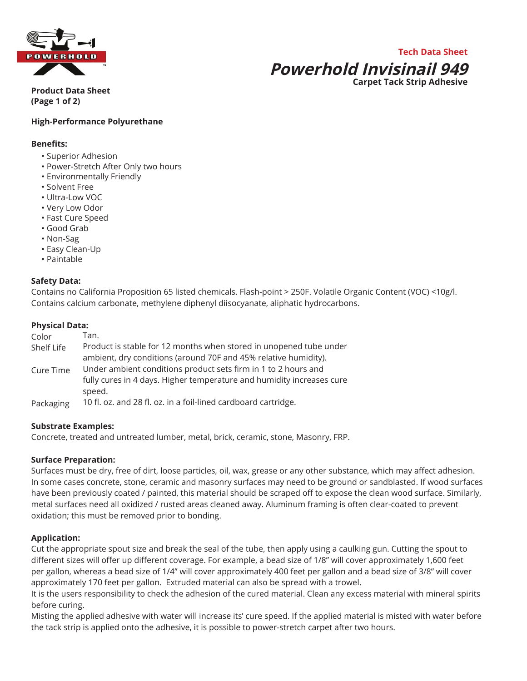

## **Tech Data Sheet Powerhold Invisinail 949 Carpet Tack Strip Adhesive**

**Product Data Sheet (Page 1 of 2)**

## **High-Performance Polyurethane**

#### **Benefits:**

- Superior Adhesion
- Power-Stretch After Only two hours
- Environmentally Friendly
- Solvent Free
- Ultra-Low VOC
- Very Low Odor
- Fast Cure Speed
- Good Grab
- Non-Sag
- Easy Clean-Up
- Paintable

#### **Safety Data:**

Contains no California Proposition 65 listed chemicals. Flash-point > 250F. Volatile Organic Content (VOC) <10g/l. Contains calcium carbonate, methylene diphenyl diisocyanate, aliphatic hydrocarbons.

#### **Physical Data:**

| Color      | Tan.                                                                  |
|------------|-----------------------------------------------------------------------|
| Shelf Life | Product is stable for 12 months when stored in unopened tube under    |
|            | ambient, dry conditions (around 70F and 45% relative humidity).       |
| Cure Time  | Under ambient conditions product sets firm in 1 to 2 hours and        |
|            | fully cures in 4 days. Higher temperature and humidity increases cure |
|            | speed.                                                                |
| Packaging  | 10 fl. oz. and 28 fl. oz. in a foil-lined cardboard cartridge.        |

#### **Substrate Examples:**

Concrete, treated and untreated lumber, metal, brick, ceramic, stone, Masonry, FRP.

#### **Surface Preparation:**

Surfaces must be dry, free of dirt, loose particles, oil, wax, grease or any other substance, which may affect adhesion. In some cases concrete, stone, ceramic and masonry surfaces may need to be ground or sandblasted. If wood surfaces have been previously coated / painted, this material should be scraped off to expose the clean wood surface. Similarly, metal surfaces need all oxidized / rusted areas cleaned away. Aluminum framing is often clear-coated to prevent oxidation; this must be removed prior to bonding.

#### **Application:**

Cut the appropriate spout size and break the seal of the tube, then apply using a caulking gun. Cutting the spout to different sizes will offer up different coverage. For example, a bead size of 1/8" will cover approximately 1,600 feet per gallon, whereas a bead size of 1/4" will cover approximately 400 feet per gallon and a bead size of 3/8" will cover approximately 170 feet per gallon. Extruded material can also be spread with a trowel.

It is the users responsibility to check the adhesion of the cured material. Clean any excess material with mineral spirits before curing.

Misting the applied adhesive with water will increase its' cure speed. If the applied material is misted with water before the tack strip is applied onto the adhesive, it is possible to power-stretch carpet after two hours.